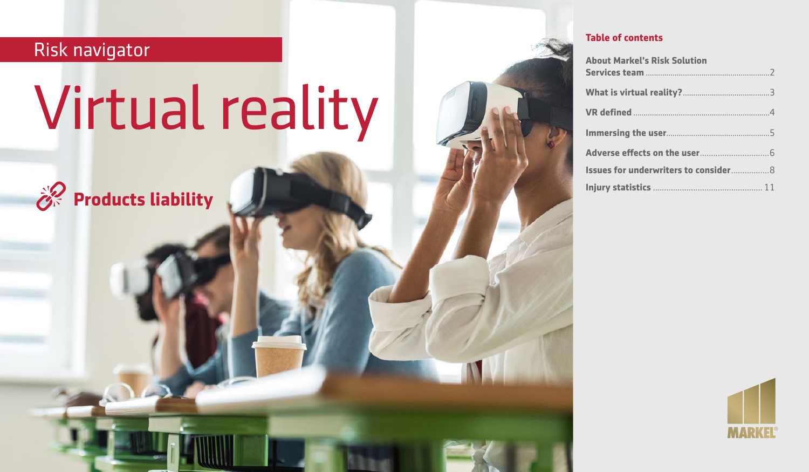# Risk navigator

# Virtual reality



# **Table of contents**

| <b>About Markel's Risk Solution</b>          |
|----------------------------------------------|
|                                              |
|                                              |
|                                              |
|                                              |
|                                              |
| <b>Issues for underwriters to consider 8</b> |
|                                              |

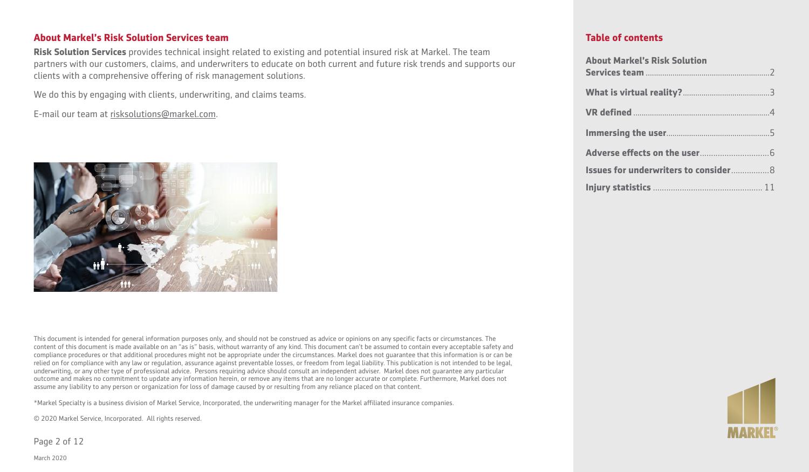#### **About Markel's Risk Solution Services team**

**Risk Solution Services** provides technical insight related to existing and potential insured risk at Markel. The team partners with our customers, claims, and underwriters to educate on both current and future risk trends and supports our clients with a comprehensive offering of risk management solutions.

We do this by engaging with clients, underwriting, and claims teams.

E-mail our team at [risksolutions@markel.com](mailto:risksolutions@markel.com).



This document is intended for general information purposes only, and should not be construed as advice or opinions on any specific facts or circumstances. The content of this document is made available on an "as is" basis, without warranty of any kind. This document can't be assumed to contain every acceptable safety and compliance procedures or that additional procedures might not be appropriate under the circumstances. Markel does not guarantee that this information is or can be relied on for compliance with any law or regulation, assurance against preventable losses, or freedom from legal liability. This publication is not intended to be legal, underwriting, or any other type of professional advice. Persons requiring advice should consult an independent adviser. Markel does not guarantee any particular outcome and makes no commitment to update any information herein, or remove any items that are no longer accurate or complete. Furthermore, Markel does not assume any liability to any person or organization for loss of damage caused by or resulting from any reliance placed on that content.

\*Markel Specialty is a business division of Markel Service, Incorporated, the underwriting manager for the Markel affiliated insurance companies.

© 2020 Markel Service, Incorporated. All rights reserved.

Page 2 of 12

# **Table of contents**

| <b>About Markel's Risk Solution</b>          |
|----------------------------------------------|
|                                              |
|                                              |
|                                              |
|                                              |
| <b>Issues for underwriters to consider 8</b> |
|                                              |



March 2020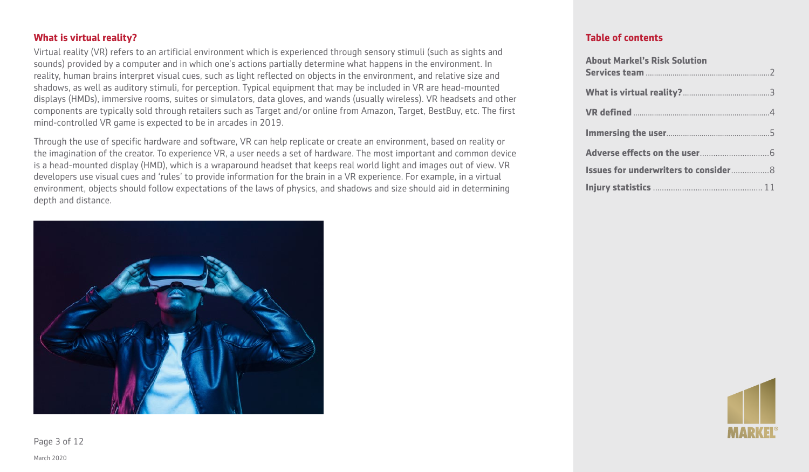# **What is virtual reality?**

Virtual reality (VR) refers to an artificial environment which is experienced through sensory stimuli (such as sights and sounds) provided by a computer and in which one's actions partially determine what happens in the environment. In reality, human brains interpret visual cues, such as light reflected on objects in the environment, and relative size and shadows, as well as auditory stimuli, for perception. Typical equipment that may be included in VR are head-mounted displays (HMDs), immersive rooms, suites or simulators, data gloves, and wands (usually wireless). VR headsets and other components are typically sold through retailers such as Target and/or online from Amazon, Target, BestBuy, etc. The first mind-controlled VR game is expected to be in arcades in 2019.

Through the use of specific hardware and software, VR can help replicate or create an environment, based on reality or the imagination of the creator. To experience VR, a user needs a set of hardware. The most important and common device is a head-mounted display (HMD), which is a wraparound headset that keeps real world light and images out of view. VR developers use visual cues and 'rules' to provide information for the brain in a VR experience. For example, in a virtual environment, objects should follow expectations of the laws of physics, and shadows and size should aid in determining depth and distance.



#### **Table of contents**

| <b>About Markel's Risk Solution</b>          |
|----------------------------------------------|
|                                              |
|                                              |
|                                              |
|                                              |
| <b>Issues for underwriters to consider 8</b> |
|                                              |



Page 3 of 12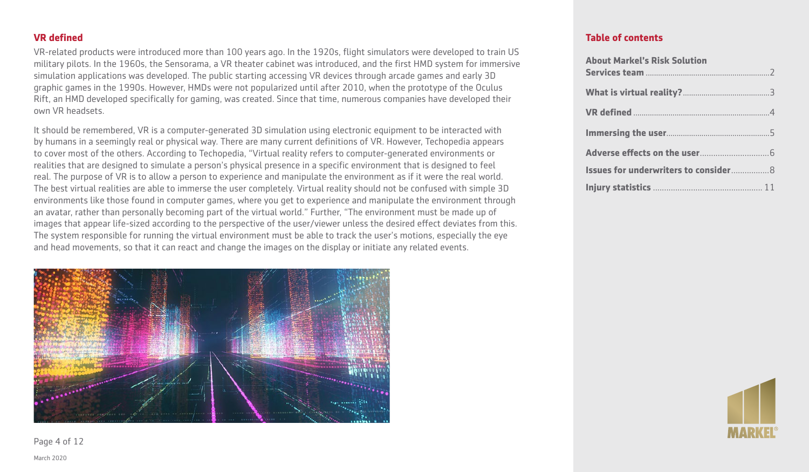## **VR defined**

VR-related products were introduced more than 100 years ago. In the 1920s, flight simulators were developed to train US military pilots. In the 1960s, the Sensorama, a VR theater cabinet was introduced, and the first HMD system for immersive simulation applications was developed. The public starting accessing VR devices through arcade games and early 3D graphic games in the 1990s. However, HMDs were not popularized until after 2010, when the prototype of the Oculus Rift, an HMD developed specifically for gaming, was created. Since that time, numerous companies have developed their own VR headsets.

It should be remembered, VR is a computer-generated 3D simulation using electronic equipment to be interacted with by humans in a seemingly real or physical way. There are many current definitions of VR. However, Techopedia appears to cover most of the others. According to Techopedia, "Virtual reality refers to computer-generated environments or realities that are designed to simulate a person's physical presence in a specific environment that is designed to feel real. The purpose of VR is to allow a person to experience and manipulate the environment as if it were the real world. The best virtual realities are able to immerse the user completely. Virtual reality should not be confused with simple 3D environments like those found in computer games, where you get to experience and manipulate the environment through an avatar, rather than personally becoming part of the virtual world." Further, "The environment must be made up of images that appear life-sized according to the perspective of the user/viewer unless the desired effect deviates from this. The system responsible for running the virtual environment must be able to track the user's motions, especially the eye and head movements, so that it can react and change the images on the display or initiate any related events.



#### **Table of contents**

| <b>About Markel's Risk Solution</b>          |  |
|----------------------------------------------|--|
|                                              |  |
|                                              |  |
|                                              |  |
|                                              |  |
| <b>Issues for underwriters to consider 8</b> |  |
|                                              |  |



Page 4 of 12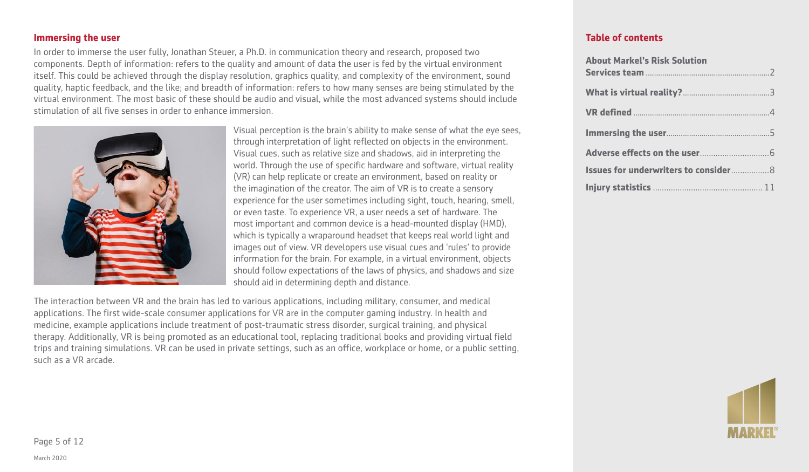#### **Immersing the user**

In order to immerse the user fully, Jonathan Steuer, a Ph.D. in communication theory and research, proposed two components. Depth of information: refers to the quality and amount of data the user is fed by the virtual environment itself. This could be achieved through the display resolution, graphics quality, and complexity of the environment, sound quality, haptic feedback, and the like; and breadth of information: refers to how many senses are being stimulated by the virtual environment. The most basic of these should be audio and visual, while the most advanced systems should include stimulation of all five senses in order to enhance immersion.



Visual perception is the brain's ability to make sense of what the eye sees, through interpretation of light reflected on objects in the environment. Visual cues, such as relative size and shadows, aid in interpreting the world. Through the use of specific hardware and software, virtual reality (VR) can help replicate or create an environment, based on reality or the imagination of the creator. The aim of VR is to create a sensory experience for the user sometimes including sight, touch, hearing, smell, or even taste. To experience VR, a user needs a set of hardware. The most important and common device is a head-mounted display (HMD), which is typically a wraparound headset that keeps real world light and images out of view. VR developers use visual cues and 'rules' to provide information for the brain. For example, in a virtual environment, objects should follow expectations of the laws of physics, and shadows and size should aid in determining depth and distance.

The interaction between VR and the brain has led to various applications, including military, consumer, and medical applications. The first wide-scale consumer applications for VR are in the computer gaming industry. In health and medicine, example applications include treatment of post-traumatic stress disorder, surgical training, and physical therapy. Additionally, VR is being promoted as an educational tool, replacing traditional books and providing virtual field trips and training simulations. VR can be used in private settings, such as an office, workplace or home, or a public setting, such as a VR arcade.

#### **Table of contents**

| <b>About Markel's Risk Solution</b>          |  |
|----------------------------------------------|--|
|                                              |  |
|                                              |  |
|                                              |  |
|                                              |  |
| <b>Issues for underwriters to consider 8</b> |  |
|                                              |  |



Page 5 of 12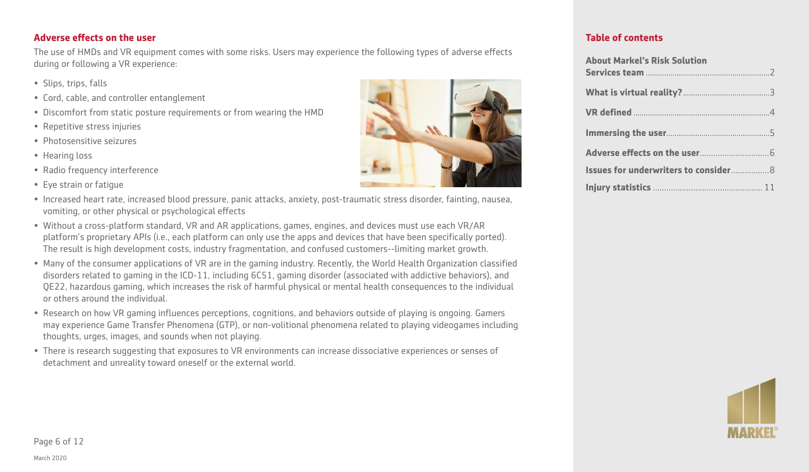# **Adverse effects on the user**

The use of HMDs and VR equipment comes with some risks. Users may experience the following types of adverse effects during or following a VR experience:

- Slips, trips, falls
- Cord, cable, and controller entanglement
- Discomfort from static posture requirements or from wearing the HMD
- Repetitive stress injuries
- Photosensitive seizures
- Hearing loss
- Radio frequency interference
- Eye strain or fatigue
- Increased heart rate, increased blood pressure, panic attacks, anxiety, post-traumatic stress disorder, fainting, nausea, vomiting, or other physical or psychological effects
- Without a cross-platform standard, VR and AR applications, games, engines, and devices must use each VR/AR platform's proprietary APIs (i.e., each platform can only use the apps and devices that have been specifically ported). The result is high development costs, industry fragmentation, and confused customers--limiting market growth.
- Many of the consumer applications of VR are in the gaming industry. Recently, the World Health Organization classified disorders related to gaming in the ICD-11, including 6C51, gaming disorder (associated with addictive behaviors), and QE22, hazardous gaming, which increases the risk of harmful physical or mental health consequences to the individual or others around the individual.
- Research on how VR gaming influences perceptions, cognitions, and behaviors outside of playing is ongoing. Gamers may experience Game Transfer Phenomena (GTP), or non-volitional phenomena related to playing videogames including thoughts, urges, images, and sounds when not playing.
- There is research suggesting that exposures to VR environments can increase dissociative experiences or senses of detachment and unreality toward oneself or the external world.



#### **Table of contents**

| <b>About Markel's Risk Solution</b>          |  |
|----------------------------------------------|--|
|                                              |  |
|                                              |  |
|                                              |  |
|                                              |  |
|                                              |  |
| <b>Issues for underwriters to consider 8</b> |  |
|                                              |  |

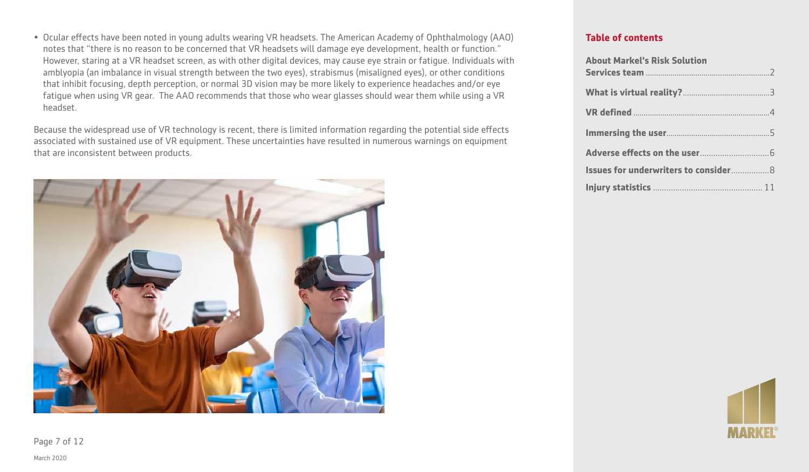• Ocular effects have been noted in young adults wearing VR headsets. The American Academy of Ophthalmology (AAO) notes that "there is no reason to be concerned that VR headsets will damage eye development, health or function." However, staring at a VR headset screen, as with other digital devices, may cause eye strain or fatigue. Individuals with amblyopia (an imbalance in visual strength between the two eyes), strabismus (misaligned eyes), or other conditions that inhibit focusing, depth perception, or normal 3D vision may be more likely to experience headaches and/or eye fatigue when using VR gear. The AAO recommends that those who wear glasses should wear them while using a VR headset.

Because the widespread use of VR technology is recent, there is limited information regarding the potential side effects associated with sustained use of VR equipment. These uncertainties have resulted in numerous warnings on equipment that are inconsistent between products.



#### **Table of contents**

| <b>About Markel's Risk Solution</b>          |
|----------------------------------------------|
|                                              |
|                                              |
|                                              |
|                                              |
| <b>Issues for underwriters to consider 8</b> |
|                                              |



March 2020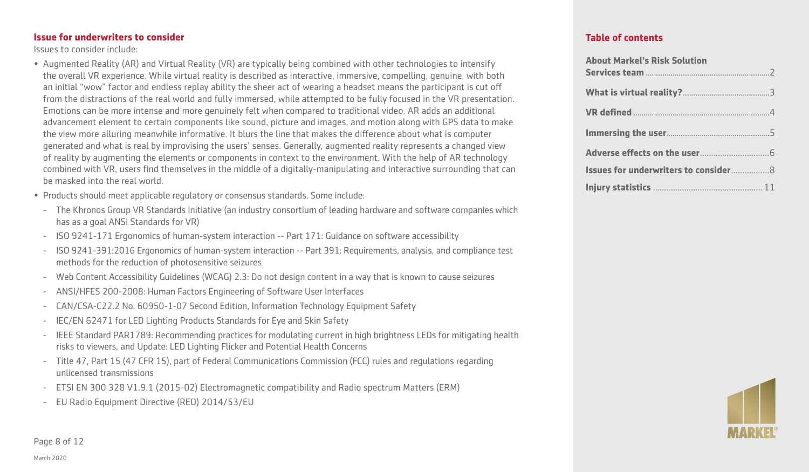#### **Issue for underwriters to consider**

Issues to consider include:

- Augmented Reality (AR) and Virtual Reality (VR) are typically being combined with other technologies to intensify the overall VR experience. While virtual reality is described as interactive, immersive, compelling, genuine, with both an initial "wow" factor and endless replay ability the sheer act of wearing a headset means the participant is cut off from the distractions of the real world and fully immersed, while attempted to be fully focused in the VR presentation. Emotions can be more intense and more genuinely felt when compared to traditional video. AR adds an additional advancement element to certain components like sound, picture and images, and motion along with GPS data to make the view more alluring meanwhile informative. It blurs the line that makes the difference about what is computer generated and what is real by improvising the users' senses. Generally, augmented reality represents a changed view of reality by augmenting the elements or components in context to the environment. With the help of AR technology combined with VR, users find themselves in the middle of a digitally-manipulating and interactive surrounding that can be masked into the real world.
- Products should meet applicable regulatory or consensus standards. Some include:
	- The Khronos Group VR Standards Initiative (an industry consortium of leading hardware and software companies which has as a goal ANSI Standards for VR)
	- ISO 9241-171 Ergonomics of human-system interaction -- Part 171: Guidance on software accessibility
	- ISO 9241-391:2016 Ergonomics of human-system interaction -- Part 391: Requirements, analysis, and compliance test methods for the reduction of photosensitive seizures
	- Web Content Accessibility Guidelines (WCAG) 2.3: Do not design content in a way that is known to cause seizures
	- ANSI/HFES 200-2008: Human Factors Engineering of Software User Interfaces
	- CAN/CSA-C22.2 No. 60950-1-07 Second Edition, Information Technology Equipment Safety
	- IEC/EN 62471 for LED Lighting Products Standards for Eye and Skin Safety
- IEEE Standard PAR1789: Recommending practices for modulating current in high brightness LEDs for mitigating health risks to viewers, and Update: LED Lighting Flicker and Potential Health Concerns
- Title 47, Part 15 (47 CFR 15), part of Federal Communications Commission (FCC) rules and regulations regarding unlicensed transmissions
- ETSI EN 300 328 V1.9.1 (2015-02) Electromagnetic compatibility and Radio spectrum Matters (ERM)
- EU Radio Equipment Directive (RED) 2014/53/EU

# **Table of contents**

| <b>About Markel's Risk Solution</b>          |  |
|----------------------------------------------|--|
|                                              |  |
|                                              |  |
|                                              |  |
|                                              |  |
| <b>Issues for underwriters to consider 8</b> |  |
|                                              |  |



Page 8 of 12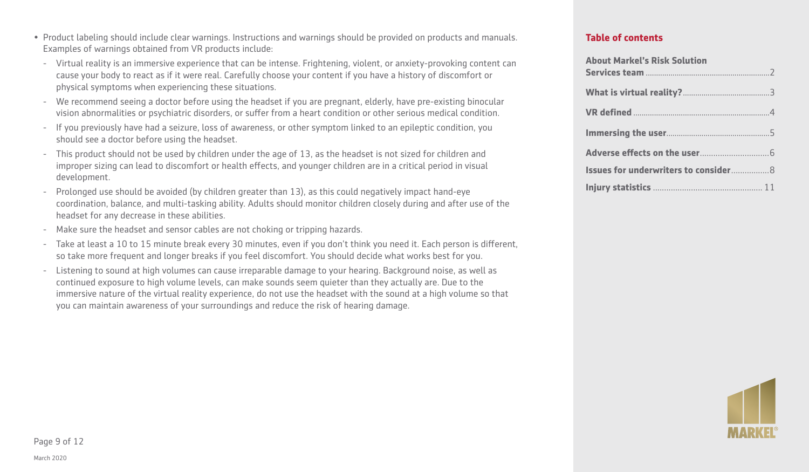- Virtual reality is an immersive experience that can be intense. Frightening, violent, or anxiety-provoking content can cause your body to react as if it were real. Carefully choose your content if you have a history of discomfort or physical symptoms when experiencing these situations.
- We recommend seeing a doctor before using the headset if you are pregnant, elderly, have pre-existing binocular vision abnormalities or psychiatric disorders, or suffer from a heart condition or other serious medical condition.
- If you previously have had a seizure, loss of awareness, or other symptom linked to an epileptic condition, you should see a doctor before using the headset.
- This product should not be used by children under the age of 13, as the headset is not sized for children and improper sizing can lead to discomfort or health effects, and younger children are in a critical period in visual development.
- Prolonged use should be avoided (by children greater than 13), as this could negatively impact hand-eye coordination, balance, and multi-tasking ability. Adults should monitor children closely during and after use of the headset for any decrease in these abilities.
- Make sure the headset and sensor cables are not choking or tripping hazards.
- Take at least a 10 to 15 minute break every 30 minutes, even if you don't think you need it. Each person is different, so take more frequent and longer breaks if you feel discomfort. You should decide what works best for you.
- Listening to sound at high volumes can cause irreparable damage to your hearing. Background noise, as well as continued exposure to high volume levels, can make sounds seem quieter than they actually are. Due to the immersive nature of the virtual reality experience, do not use the headset with the sound at a high volume so that you can maintain awareness of your surroundings and reduce the risk of hearing damage.

# **Table of contents**

| <b>About Markel's Risk Solution</b>          |  |
|----------------------------------------------|--|
|                                              |  |
|                                              |  |
|                                              |  |
|                                              |  |
|                                              |  |
| <b>Issues for underwriters to consider 8</b> |  |
|                                              |  |

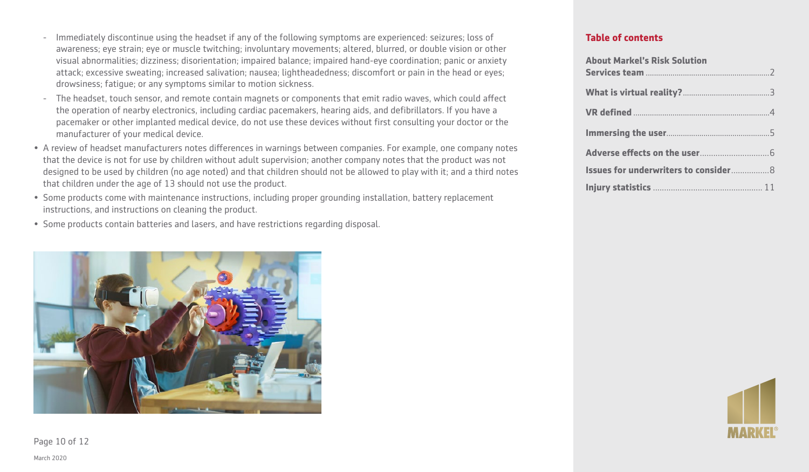- The headset, touch sensor, and remote contain magnets or components that emit radio waves, which could affect the operation of nearby electronics, including cardiac pacemakers, hearing aids, and defibrillators. If you have a pacemaker or other implanted medical device, do not use these devices without first consulting your doctor or the manufacturer of your medical device.
- A review of headset manufacturers notes differences in warnings between companies. For example, one company notes that the device is not for use by children without adult supervision; another company notes that the product was not designed to be used by children (no age noted) and that children should not be allowed to play with it; and a third notes that children under the age of 13 should not use the product.
- Some products come with maintenance instructions, including proper grounding installation, battery replacement instructions, and instructions on cleaning the product.
- Some products contain batteries and lasers, and have restrictions regarding disposal.



**Table of contents**

| <b>About Markel's Risk Solution</b>          |
|----------------------------------------------|
|                                              |
|                                              |
|                                              |
|                                              |
| <b>Issues for underwriters to consider 8</b> |
|                                              |



Page 10 of 12

March 2020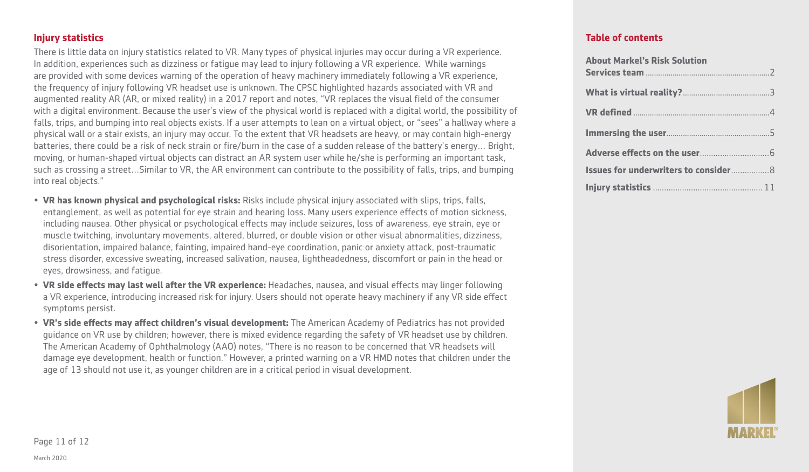**Injury statistics**

There is little data on injury statistics related to VR. Many types of physical injuries may occur during a VR experience. In addition, experiences such as dizziness or fatigue may lead to injury following a VR experience. While warnings are provided with some devices warning of the operation of heavy machinery immediately following a VR experience, the frequency of injury following VR headset use is unknown. The CPSC highlighted hazards associated with VR and augmented reality AR (AR, or mixed reality) in a 2017 report and notes, "VR replaces the visual field of the consumer with a digital environment. Because the user's view of the physical world is replaced with a digital world, the possibility of falls, trips, and bumping into real objects exists. If a user attempts to lean on a virtual object, or "sees" a hallway where a physical wall or a stair exists, an injury may occur. To the extent that VR headsets are heavy, or may contain high-energy batteries, there could be a risk of neck strain or fire/burn in the case of a sudden release of the battery's energy… Bright, moving, or human-shaped virtual objects can distract an AR system user while he/she is performing an important task, such as crossing a street…Similar to VR, the AR environment can contribute to the possibility of falls, trips, and bumping into real objects."

- **VR has known physical and psychological risks:** Risks include physical injury associated with slips, trips, falls, entanglement, as well as potential for eye strain and hearing loss. Many users experience effects of motion sickness, including nausea. Other physical or psychological effects may include seizures, loss of awareness, eye strain, eye or muscle twitching, involuntary movements, altered, blurred, or double vision or other visual abnormalities, dizziness, disorientation, impaired balance, fainting, impaired hand-eye coordination, panic or anxiety attack, post-traumatic stress disorder, excessive sweating, increased salivation, nausea, lightheadedness, discomfort or pain in the head or eyes, drowsiness, and fatigue.
- **VR side effects may last well after the VR experience:** Headaches, nausea, and visual effects may linger following a VR experience, introducing increased risk for injury. Users should not operate heavy machinery if any VR side effect symptoms persist.
- **VR's side effects may affect children's visual development:** The American Academy of Pediatrics has not provided guidance on VR use by children; however, there is mixed evidence regarding the safety of VR headset use by children. The American Academy of Ophthalmology (AAO) notes, "There is no reason to be concerned that VR headsets will damage eye development, health or function." However, a printed warning on a VR HMD notes that children under the age of 13 should not use it, as younger children are in a critical period in visual development.

# **Table of contents**

| <b>About Markel's Risk Solution</b>          |  |
|----------------------------------------------|--|
|                                              |  |
|                                              |  |
|                                              |  |
|                                              |  |
| <b>Issues for underwriters to consider 8</b> |  |
|                                              |  |



Page 11 of 12